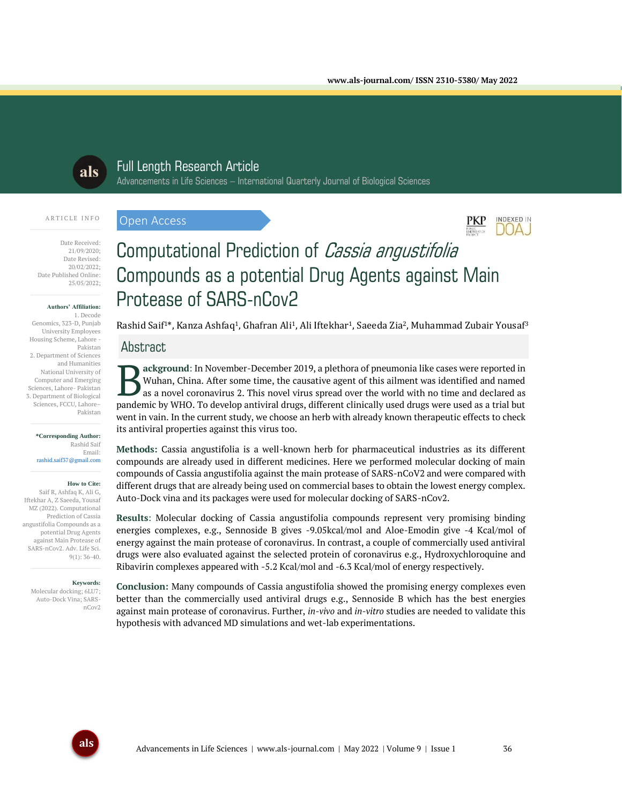

## Full Length Research Article

Date Received: 21/09/2020; Date Revised: 20/02/2022; Date Published Online: 25/05/2022;

A R T I C L E I N F O

#### **Authors' Affiliation:**

1. Decode Genomics, 323-D, Punjab University Employees Housing Scheme, Lahore - Pakistan 2. Department of Sciences and Humanities National University of Computer and Emerging Sciences, Lahore- Pakistan 3. Department of Biological Sciences, FCCU, Lahore– Pakistan

#### **\*Corresponding Author:** Rashid Saif Email: rashid.saif37@gmail.com

#### **How to Cite:**

Saif R, Ashfaq K, Ali G, Iftekhar A, Z Saeeda, Yousaf MZ (2022). Computational Prediction of Cassia angustifolia Compounds as a potential Drug Agents against Main Protease of SARS-nCov2. Adv. Life Sci. 9(1): 36-40.

#### **Keywords:**

Molecular docking; 6LU7; Auto-Dock Vina; SARSnCov2

# Advancements in Life Sciences – International Quarterly Journal of Biological Sciences

### Open Access



## Computational Prediction of Cassia angustifolia Compounds as a potential Drug Agents against Main Protease of SARS-nCov2

Rashid Saif<sup>1\*</sup>, Kanza Ashfaq<sup>1</sup>, Ghafran Ali<sup>1</sup>, Ali Iftekhar<sup>1</sup>, Saeeda Zia<sup>2</sup>, Muhammad Zubair Yousaf<sup>3</sup>

#### **Abstract**

**ackground**: In November-December 2019, a plethora of pneumonia like cases were reported in Wuhan, China. After some time, the causative agent of this ailment was identified and named as a novel coronavirus 2. This novel virus spread over the world with no time and declared as **Pandemic by Winan**, China. After some time, the causative agent of this ailment was identified and named as a novel coronavirus 2. This novel virus spread over the world with no time and declared as pandemic by WHO. To de went in vain. In the current study, we choose an herb with already known therapeutic effects to check its antiviral properties against this virus too.

**Methods:** Cassia angustifolia is a well-known herb for pharmaceutical industries as its different compounds are already used in different medicines. Here we performed molecular docking of main compounds of Cassia angustifolia against the main protease of SARS-nCoV2 and were compared with different drugs that are already being used on commercial bases to obtain the lowest energy complex. Auto-Dock vina and its packages were used for molecular docking of SARS-nCov2.

**Results**: Molecular docking of Cassia angustifolia compounds represent very promising binding energies complexes, e.g., Sennoside B gives -9.05kcal/mol and Aloe-Emodin give -4 Kcal/mol of energy against the main protease of coronavirus. In contrast, a couple of commercially used antiviral drugs were also evaluated against the selected protein of coronavirus e.g., Hydroxychloroquine and Ribavirin complexes appeared with -5.2 Kcal/mol and -6.3 Kcal/mol of energy respectively.

**Conclusion:** Many compounds of Cassia angustifolia showed the promising energy complexes even better than the commercially used antiviral drugs e.g., Sennoside B which has the best energies against main protease of coronavirus. Further, *in-vivo* and *in-vitro* studies are needed to validate this hypothesis with advanced MD simulations and wet-lab experimentations.

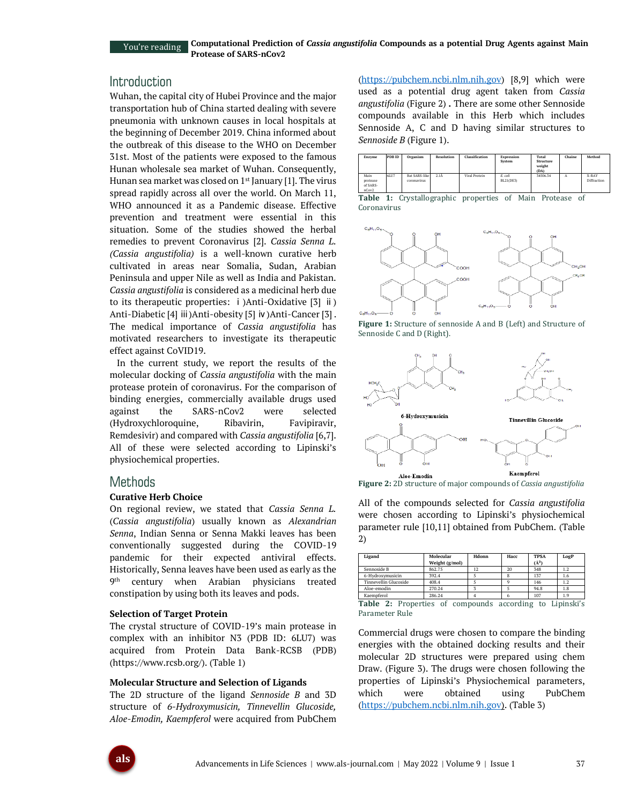You're reading

## Introduction

Wuhan, the capital city of Hubei Province and the major transportation hub of China started dealing with severe pneumonia with unknown causes in local hospitals at the beginning of December 2019. China informed about the outbreak of this disease to the WHO on December 31st. Most of the patients were exposed to the famous Hunan wholesale sea market of Wuhan. Consequently, Hunan sea market was closed on  $1<sup>st</sup>$  January [1]. The virus spread rapidly across all over the world. On March 11, WHO announced it as a Pandemic disease. Effective prevention and treatment were essential in this situation. Some of the studies showed the herbal remedies to prevent Coronavirus [2]. *Cassia Senna L. (Cassia angustifolia)* is a well-known curative herb cultivated in areas near Somalia, Sudan, Arabian Peninsula and upper Nile as well as India and Pakistan. *Cassia angustifolia* is considered as a medicinal herb due to its therapeutic properties: ⅰ)Anti-Oxidative [3] ⅱ) Anti-Diabetic [4] iii)Anti-obesity [5] iv)Anti-Cancer [3]. The medical importance of *Cassia angustifolia* has motivated researchers to investigate its therapeutic effect against CoVID19.

In the current study, we report the results of the molecular docking of *Cassia angustifolia* with the main protease protein of coronavirus. For the comparison of binding energies, commercially available drugs used against the SARS-nCov2 were selected (Hydroxychloroquine, Ribavirin, Favipiravir, Remdesivir) and compared with *Cassia angustifolia* [6,7]. All of these were selected according to Lipinski's physiochemical properties.

### **Methods**

#### **Curative Herb Choice**

On regional review, we stated that *Cassia Senna L.* (*Cassia angustifolia*) usually known as *Alexandrian Senna*, Indian Senna or Senna Makki leaves has been conventionally suggested during the COVID-19 pandemic for their expected antiviral effects. Historically, Senna leaves have been used as early as the 9<sup>th</sup> century when Arabian physicians treated constipation by using both its leaves and pods.

#### **Selection of Target Protein**

The crystal structure of COVID-19's main protease in complex with an inhibitor N3 (PDB ID: 6LU7) was acquired from Protein Data Bank-RCSB (PDB) (https://www.rcsb.org/). (Table 1)

#### **Molecular Structure and Selection of Ligands**

The 2D structure of the ligand *Sennoside B* and 3D structure of *6-Hydroxymusicin, Tinnevellin Glucoside, Aloe-Emodin, Kaempferol* were acquired from PubChem [\(https://pubchem.ncbi.nlm.nih.gov\)](https://pubchem.ncbi.nlm.nih.gov/) [8,9] which were used as a potential drug agent taken from *Cassia angustifolia* (Figure 2) **.** There are some other Sennoside compounds available in this Herb which includes Sennoside A, C and D having similar structures to *Sennoside B* (Figure 1).

| Enzyme                                | PDB ID | Organism                            | <b>Resolution</b> | Classification | Expression<br>System | <b>Total</b><br>Structure<br>weight<br>(DA) | Chaine | Method               |
|---------------------------------------|--------|-------------------------------------|-------------------|----------------|----------------------|---------------------------------------------|--------|----------------------|
| Main<br>protease<br>of SARS-<br>nCov2 | 6LU7   | <b>Bat SARS-like</b><br>coronavirus | 2.1 <sub>A</sub>  | Viral Protein  | E. coli<br>BL21(DE3) | 34506.34                                    | А      | X-RAY<br>Diffraction |

**Table 1:** Crystallographic properties of Main Protease of Coronavirus



**Figure 1:** Structure of sennoside A and B (Left) and Structure of Sennoside C and D (Right).



**Figure 2:** 2D structure of major compounds of *Cassia angustifolia*

All of the compounds selected for *Cassia angustifolia* were chosen according to Lipinski's physiochemical parameter rule [10,11] obtained from PubChem. (Table 2)

| Ligand                | Molecular<br>Weight (g/mol) | Hdonn | Hacc | <b>TPSA</b><br>$(\mathring{A}^2)$ | LogP |
|-----------------------|-----------------------------|-------|------|-----------------------------------|------|
| Sennoside B           | 862.75                      | 12    | 20   | 348                               | 1.2  |
| 6-Hydroxymusicin      | 392.4                       |       |      | 137                               | 1.6  |
| Tinnevellin Glucoside | 408.4                       |       |      | 146                               | 1.2  |
| Aloe-emodin           | 270.24                      |       |      | 94.8                              | 1.8  |
| Kaempferol            | 286.24                      |       |      | 107                               | 1.9  |

**Table 2:** Properties of compounds according to Lipinski's Parameter Rule

Commercial drugs were chosen to compare the binding energies with the obtained docking results and their molecular 2D structures were prepared using chem Draw. (Figure 3). The drugs were chosen following the properties of Lipinski's Physiochemical parameters, which were obtained using PubChem [\(https://pubchem.ncbi.nlm.nih.gov\)](https://pubchem.ncbi.nlm.nih.gov/). (Table 3)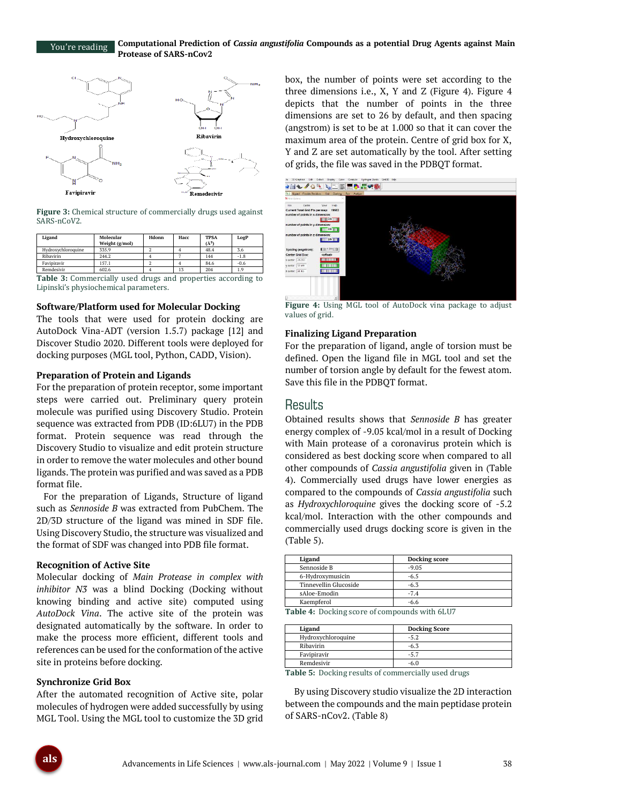#### **Computational Prediction of** *Cassia angustifolia* **Compounds as a potential Drug Agents against Main Protease of SARS-nCov2** You're reading



**Figure 3:** Chemical structure of commercially drugs used against SARS-nCoV2.

| Ligand             | Molecular<br>Weight (g/mol) | Hdonn | Hacc | <b>TPSA</b><br>$(\AA^2)$ | LogP   |
|--------------------|-----------------------------|-------|------|--------------------------|--------|
| Hydroxychloroquine | 335.9                       |       |      | 48.4                     | 3.6    |
| Ribavirin          | 244.2                       |       |      | 144                      | $-1.8$ |
| Favipiravir        | 157.1                       |       |      | 84.6                     | $-0.6$ |
| Remdesivir         | 602.6                       |       | 13   | 204                      | 1.9    |

**Table 3:** Commercially used drugs and properties according to Lipinski's physiochemical parameters.

#### **Software/Platform used for Molecular Docking**

The tools that were used for protein docking are AutoDock Vina-ADT (version 1.5.7) package [12] and Discover Studio 2020. Different tools were deployed for docking purposes (MGL tool, Python, CADD, Vision).

#### **Preparation of Protein and Ligands**

For the preparation of protein receptor, some important steps were carried out. Preliminary query protein molecule was purified using Discovery Studio. Protein sequence was extracted from PDB (ID:6LU7) in the PDB format. Protein sequence was read through the Discovery Studio to visualize and edit protein structure in order to remove the water molecules and other bound ligands. The protein was purified and was saved as a PDB format file.

For the preparation of Ligands, Structure of ligand such as *Sennoside B* was extracted from PubChem. The 2D/3D structure of the ligand was mined in SDF file. Using Discovery Studio, the structure was visualized and the format of SDF was changed into PDB file format.

#### **Recognition of Active Site**

Molecular docking of *Main Protease in complex with inhibitor N3* was a blind Docking (Docking without knowing binding and active site) computed using *AutoDock Vina*. The active site of the protein was designated automatically by the software. In order to make the process more efficient, different tools and references can be used for the conformation of the active site in proteins before docking.

#### **Synchronize Grid Box**

After the automated recognition of Active site, polar molecules of hydrogen were added successfully by using MGL Tool. Using the MGL tool to customize the 3D grid box, the number of points were set according to the three dimensions i.e., X, Y and Z (Figure 4). Figure 4 depicts that the number of points in the three dimensions are set to 26 by default, and then spacing (angstrom) is set to be at 1.000 so that it can cover the maximum area of the protein. Centre of grid box for X, Y and Z are set automatically by the tool. After setting of grids, the file was saved in the PDBQT format.



**Figure 4:** Using MGL tool of AutoDock vina package to adjust values of grid.

#### **Finalizing Ligand Preparation**

For the preparation of ligand, angle of torsion must be defined. Open the ligand file in MGL tool and set the number of torsion angle by default for the fewest atom. Save this file in the PDBQT format.

## Results

Obtained results shows that *Sennoside B* has greater energy complex of -9.05 kcal/mol in a result of Docking with Main protease of a coronavirus protein which is considered as best docking score when compared to all other compounds of *Cassia angustifolia* given in (Table 4). Commercially used drugs have lower energies as compared to the compounds of *Cassia angustifolia* such as *Hydroxychloroquine* gives the docking score of -5.2 kcal/mol. Interaction with the other compounds and commercially used drugs docking score is given in the (Table 5).

| Ligand                                         | Docking score |  |  |  |
|------------------------------------------------|---------------|--|--|--|
| Sennoside B                                    | $-9.05$       |  |  |  |
| 6-Hydroxymusicin                               | $-6.5$        |  |  |  |
| Tinnevellin Glucoside                          | $-6.3$        |  |  |  |
| sAloe-Emodin                                   | $-7.4$        |  |  |  |
| Kaempferol                                     | $-6.6$        |  |  |  |
| Table 4. Declara score of compounds with 61117 |               |  |  |  |

**Table 4:** Docking score of compounds with 6LU7

| <b>Docking Score</b> |  |
|----------------------|--|
| $-5.2$               |  |
| -6.3                 |  |
| $-5.7$               |  |
| $-6.0$               |  |
|                      |  |

**Table 5:** Docking results of commercially used drugs

By using Discovery studio visualize the 2D interaction between the compounds and the main peptidase protein of SARS-nCov2. (Table 8)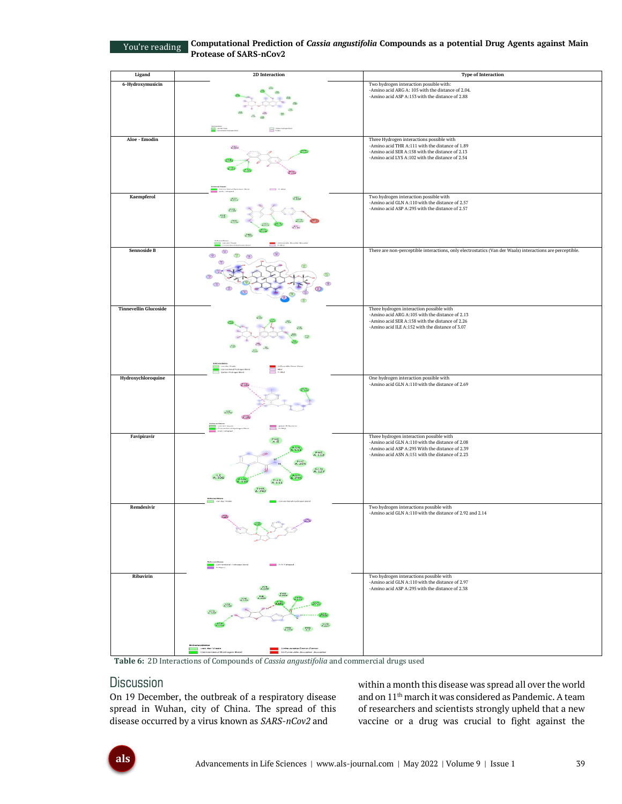You're reading

**Computational Prediction of** *Cassia angustifolia* **Compounds as a potential Drug Agents against Main Protease of SARS-nCov2**

| Ligand                       | 2D Interaction                                                                                                                                                                                                                              | <b>Type of Interaction</b>                                                                                                                                                                         |
|------------------------------|---------------------------------------------------------------------------------------------------------------------------------------------------------------------------------------------------------------------------------------------|----------------------------------------------------------------------------------------------------------------------------------------------------------------------------------------------------|
| 6-Hydroxymusicin             |                                                                                                                                                                                                                                             | Two hydrogen interaction possible with:<br>-Amino acid ARG A: 105 with the distance of 2.04.<br>-Amino acid ASP A:153 with the distance of 2.88                                                    |
|                              | 8                                                                                                                                                                                                                                           |                                                                                                                                                                                                    |
| Aloe - Emodin                | X <sub>104</sub>                                                                                                                                                                                                                            | Three Hydrogen interactions possible with<br>-Amino acid THR A:111 with the distance of 1.89<br>-Amino acid SER A:158 with the distance of 2.13<br>-Amino acid LYS A:102 with the distance of 2.54 |
| Kaempferol                   | XOL.<br>AV.                                                                                                                                                                                                                                 | Two hydrogen interaction possible with                                                                                                                                                             |
|                              | 流线<br>PASS                                                                                                                                                                                                                                  | -Amino acid GLN A:110 with the distance of 2.57<br>-Amino acid ASP A:295 with the distance of 2.57                                                                                                 |
| Sennoside B                  | CSP <sub>1</sub><br>$\overline{2}$<br>$\mathbb{G}$<br>$\binom{m}{n}$                                                                                                                                                                        | There are non-perceptible interactions, only electrostatics (Van der Waals) interactions are perceptible.                                                                                          |
| <b>Tinnevellin Glucoside</b> |                                                                                                                                                                                                                                             | Three hydrogen interaction possible with                                                                                                                                                           |
|                              |                                                                                                                                                                                                                                             | -Amino acid ARG A:105 with the distance of 2.13<br>-Amino acid SER A:158 with the distance of 2.26<br>-Amino acid ILE A:152 with the distance of 3.07                                              |
|                              |                                                                                                                                                                                                                                             |                                                                                                                                                                                                    |
| Hydroxychloroquine           | ÷                                                                                                                                                                                                                                           | One hydrogen interaction possible with<br>-Amino acid GLN A:110 with the distance of 2.69                                                                                                          |
| Favipiravir                  |                                                                                                                                                                                                                                             | Three hydrogen interaction possible with                                                                                                                                                           |
|                              | A:112<br>$GLN$<br>A:127                                                                                                                                                                                                                     | -Amino acid GLN A:110 with the distance of 2.08<br>-Amino acid ASP A:295 With the distance of 2.39<br>-Amino acid ASN A:151 with the distance of 2.23                                              |
| Remdesivir                   |                                                                                                                                                                                                                                             | Two hydrogen interactions possible with                                                                                                                                                            |
|                              | <b>Service</b><br>The Property<br><b>CONTRACTOR</b> PRODUCT                                                                                                                                                                                 | -Amino acid GLN A:110 with the distance of 2.92 and 2.14                                                                                                                                           |
| Ribavirin                    |                                                                                                                                                                                                                                             | Two hydrogen interactions possible with                                                                                                                                                            |
|                              | $\Lambda^{\rm CT}_{\rm 100}$<br>X <sub>20</sub><br>A<br>X <sub>104</sub><br>ATSH<br>$A = 102$<br>24.54<br><b>Parts</b><br>wan der Waals<br><mark>Bi</mark> l van der Waals<br><mark>Bil</mark> Conventional Hydrogen Bond<br>able Donor-Dan | -Amino acid GLN A:110 with the distance of 2.97<br>-Amino acid ASP A:295 with the distance of 2.38                                                                                                 |
|                              | Unfavorable Acceptor Acce                                                                                                                                                                                                                   |                                                                                                                                                                                                    |

**Table 6:** 2D Interactions of Compounds of *Cassia angustifolia* and commercial drugs used

## **Discussion**

On 19 December, the outbreak of a respiratory disease spread in Wuhan, city of China. The spread of this disease occurred by a virus known as *SARS-nCov2* and

within a month this disease was spread all over the world and on 11th march it was considered as Pandemic. A team of researchers and scientists strongly upheld that a new vaccine or a drug was crucial to fight against the